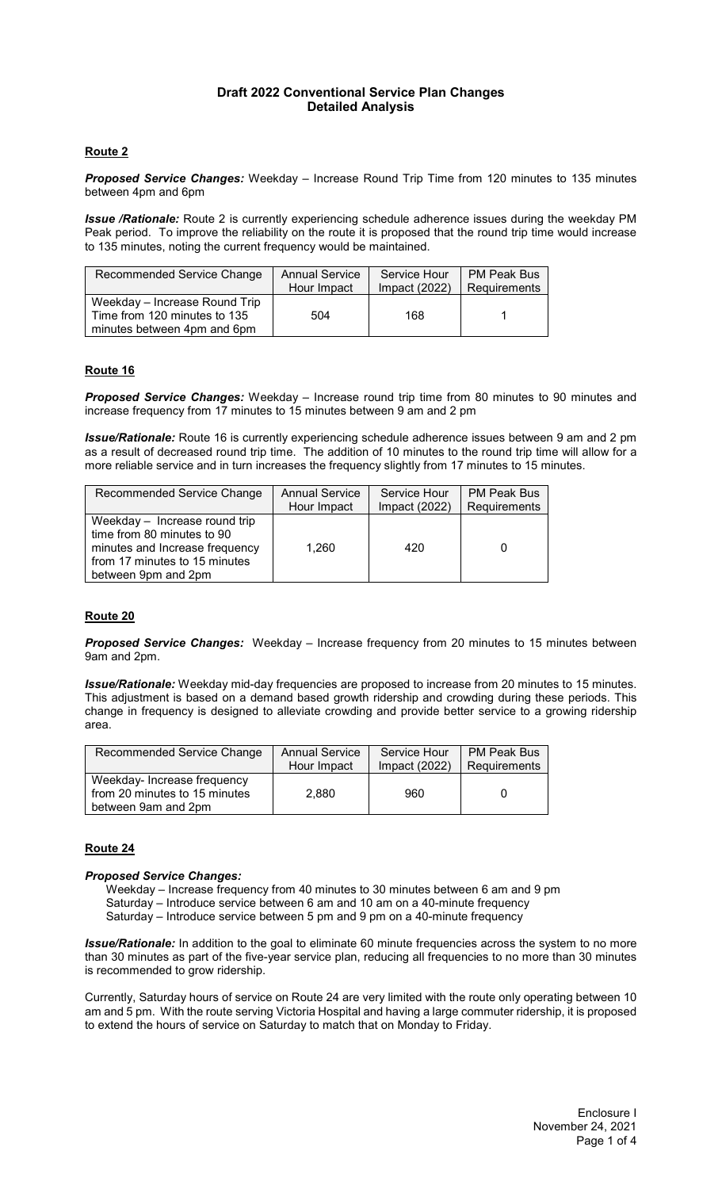### **Draft 2022 Conventional Service Plan Changes Detailed Analysis**

# **Route 2**

*Proposed Service Changes:* Weekday – Increase Round Trip Time from 120 minutes to 135 minutes between 4pm and 6pm

*Issue /Rationale:* Route 2 is currently experiencing schedule adherence issues during the weekday PM Peak period. To improve the reliability on the route it is proposed that the round trip time would increase to 135 minutes, noting the current frequency would be maintained.

| Recommended Service Change                                                                   | <b>Annual Service</b> | Service Hour    | <b>PM Peak Bus</b> |
|----------------------------------------------------------------------------------------------|-----------------------|-----------------|--------------------|
|                                                                                              | Hour Impact           | Impact $(2022)$ | Requirements       |
| Weekday – Increase Round Trip<br>Time from 120 minutes to 135<br>minutes between 4pm and 6pm | 504                   | 168             |                    |

# **Route 16**

*Proposed Service Changes:* Weekday – Increase round trip time from 80 minutes to 90 minutes and increase frequency from 17 minutes to 15 minutes between 9 am and 2 pm

*Issue/Rationale:* Route 16 is currently experiencing schedule adherence issues between 9 am and 2 pm as a result of decreased round trip time. The addition of 10 minutes to the round trip time will allow for a more reliable service and in turn increases the frequency slightly from 17 minutes to 15 minutes.

| Recommended Service Change                                                                                                                            | <b>Annual Service</b> | Service Hour  | <b>PM Peak Bus</b> |
|-------------------------------------------------------------------------------------------------------------------------------------------------------|-----------------------|---------------|--------------------|
|                                                                                                                                                       | Hour Impact           | Impact (2022) | Requirements       |
| Weekday - Increase round trip<br>time from 80 minutes to 90<br>minutes and Increase frequency<br>from 17 minutes to 15 minutes<br>between 9pm and 2pm | 1,260                 | 420           |                    |

### **Route 20**

*Proposed Service Changes:* Weekday – Increase frequency from 20 minutes to 15 minutes between 9am and 2pm.

*Issue/Rationale:* Weekday mid-day frequencies are proposed to increase from 20 minutes to 15 minutes. This adjustment is based on a demand based growth ridership and crowding during these periods. This change in frequency is designed to alleviate crowding and provide better service to a growing ridership area.

| Recommended Service Change                                                          | <b>Annual Service</b> | Service Hour    | <b>PM Peak Bus</b> |
|-------------------------------------------------------------------------------------|-----------------------|-----------------|--------------------|
|                                                                                     | Hour Impact           | Impact $(2022)$ | Requirements       |
| Weekday- Increase frequency<br>from 20 minutes to 15 minutes<br>between 9am and 2pm | 2.880                 | 960             |                    |

### **Route 24**

### *Proposed Service Changes:*

Weekday – Increase frequency from 40 minutes to 30 minutes between 6 am and 9 pm Saturday – Introduce service between 6 am and 10 am on a 40-minute frequency Saturday – Introduce service between 5 pm and 9 pm on a 40-minute frequency

*Issue/Rationale:* In addition to the goal to eliminate 60 minute frequencies across the system to no more than 30 minutes as part of the five-year service plan, reducing all frequencies to no more than 30 minutes is recommended to grow ridership.

Currently, Saturday hours of service on Route 24 are very limited with the route only operating between 10 am and 5 pm. With the route serving Victoria Hospital and having a large commuter ridership, it is proposed to extend the hours of service on Saturday to match that on Monday to Friday.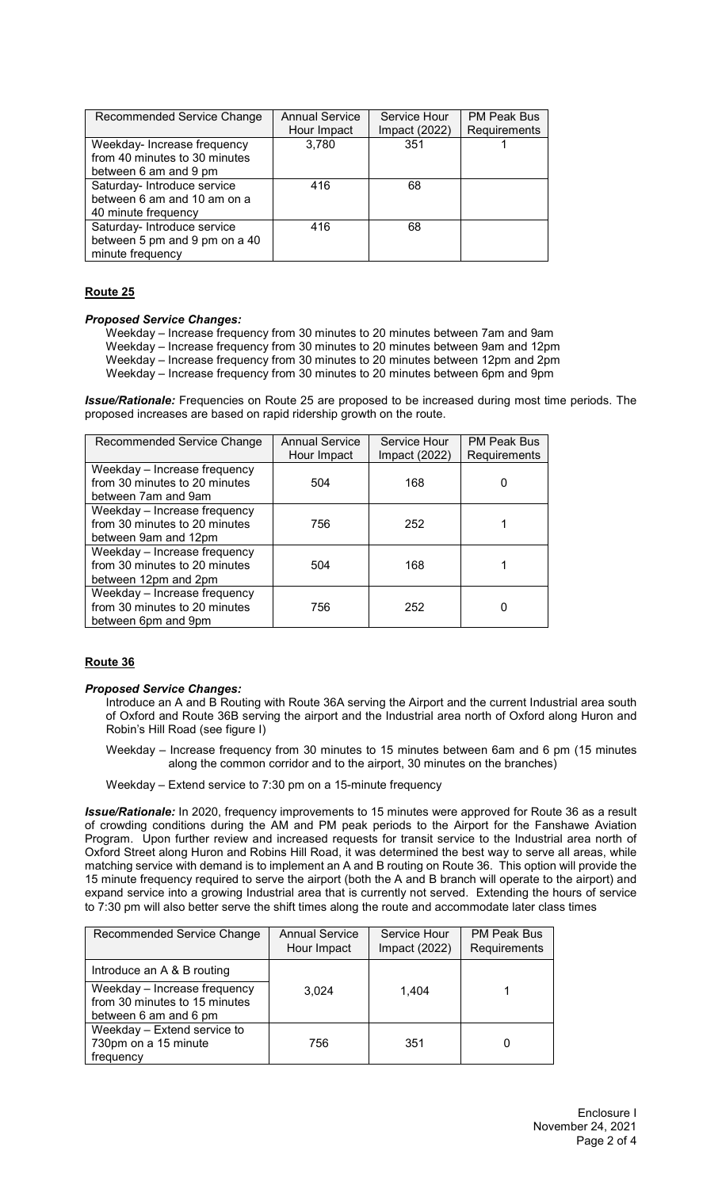| Recommended Service Change                                   | <b>Annual Service</b><br>Hour Impact | Service Hour<br>Impact (2022) | <b>PM Peak Bus</b><br>Requirements |
|--------------------------------------------------------------|--------------------------------------|-------------------------------|------------------------------------|
| Weekday- Increase frequency<br>from 40 minutes to 30 minutes | 3,780                                | 351                           |                                    |
| between 6 am and 9 pm                                        |                                      |                               |                                    |
| Saturday- Introduce service<br>between 6 am and 10 am on a   | 416                                  | 68                            |                                    |
| 40 minute frequency                                          |                                      |                               |                                    |
| Saturday- Introduce service                                  | 416                                  | 68                            |                                    |
| between 5 pm and 9 pm on a 40                                |                                      |                               |                                    |
| minute frequency                                             |                                      |                               |                                    |

# **Route 25**

### *Proposed Service Changes:*

Weekday – Increase frequency from 30 minutes to 20 minutes between 7am and 9am Weekday – Increase frequency from 30 minutes to 20 minutes between 9am and 12pm Weekday – Increase frequency from 30 minutes to 20 minutes between 12pm and 2pm Weekday – Increase frequency from 30 minutes to 20 minutes between 6pm and 9pm

*Issue/Rationale:* Frequencies on Route 25 are proposed to be increased during most time periods. The proposed increases are based on rapid ridership growth on the route.

| Recommended Service Change                                                            | <b>Annual Service</b><br>Hour Impact | Service Hour<br>Impact (2022) | <b>PM Peak Bus</b><br>Requirements |
|---------------------------------------------------------------------------------------|--------------------------------------|-------------------------------|------------------------------------|
| Weekday - Increase frequency<br>from 30 minutes to 20 minutes<br>between 7am and 9am  | 504                                  | 168                           |                                    |
| Weekday - Increase frequency<br>from 30 minutes to 20 minutes<br>between 9am and 12pm | 756                                  | 252                           |                                    |
| Weekday - Increase frequency<br>from 30 minutes to 20 minutes<br>between 12pm and 2pm | 504                                  | 168                           |                                    |
| Weekday - Increase frequency<br>from 30 minutes to 20 minutes<br>between 6pm and 9pm  | 756                                  | 252                           |                                    |

### **Route 36**

#### *Proposed Service Changes:*

Introduce an A and B Routing with Route 36A serving the Airport and the current Industrial area south of Oxford and Route 36B serving the airport and the Industrial area north of Oxford along Huron and Robin's Hill Road (see figure I)

Weekday – Increase frequency from 30 minutes to 15 minutes between 6am and 6 pm (15 minutes along the common corridor and to the airport, 30 minutes on the branches)

Weekday – Extend service to 7:30 pm on a 15-minute frequency

*Issue/Rationale:* In 2020, frequency improvements to 15 minutes were approved for Route 36 as a result of crowding conditions during the AM and PM peak periods to the Airport for the Fanshawe Aviation Program. Upon further review and increased requests for transit service to the Industrial area north of Oxford Street along Huron and Robins Hill Road, it was determined the best way to serve all areas, while matching service with demand is to implement an A and B routing on Route 36. This option will provide the 15 minute frequency required to serve the airport (both the A and B branch will operate to the airport) and expand service into a growing Industrial area that is currently not served. Extending the hours of service to 7:30 pm will also better serve the shift times along the route and accommodate later class times

| Recommended Service Change                                                             | <b>Annual Service</b><br>Hour Impact | Service Hour<br>Impact (2022) | <b>PM Peak Bus</b><br>Requirements |
|----------------------------------------------------------------------------------------|--------------------------------------|-------------------------------|------------------------------------|
| Introduce an A & B routing                                                             |                                      |                               |                                    |
| Weekday - Increase frequency<br>from 30 minutes to 15 minutes<br>between 6 am and 6 pm | 3.024                                | 1.404                         |                                    |
| Weekday - Extend service to<br>730pm on a 15 minute<br>frequency                       | 756                                  | 351                           |                                    |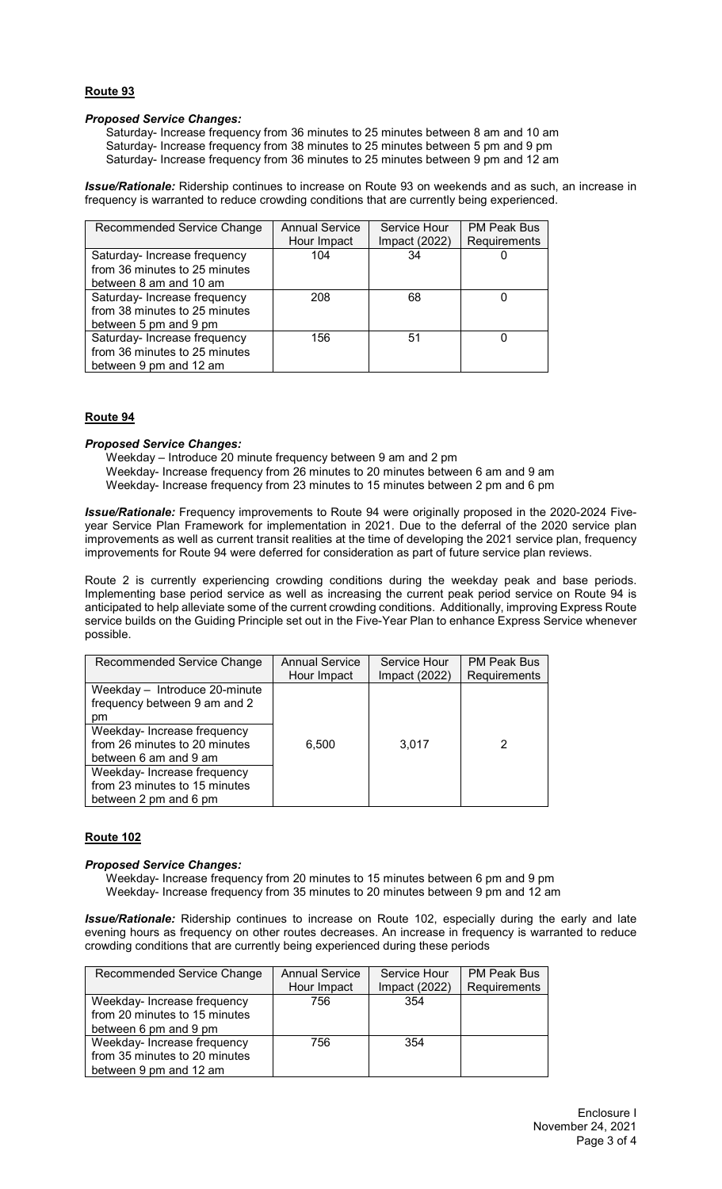# **Route 93**

### *Proposed Service Changes:*

Saturday- Increase frequency from 36 minutes to 25 minutes between 8 am and 10 am Saturday- Increase frequency from 38 minutes to 25 minutes between 5 pm and 9 pm Saturday- Increase frequency from 36 minutes to 25 minutes between 9 pm and 12 am

*Issue/Rationale:* Ridership continues to increase on Route 93 on weekends and as such, an increase in frequency is warranted to reduce crowding conditions that are currently being experienced.

| Recommended Service Change    | <b>Annual Service</b> | Service Hour  | <b>PM Peak Bus</b> |
|-------------------------------|-----------------------|---------------|--------------------|
|                               | Hour Impact           | Impact (2022) | Requirements       |
| Saturday- Increase frequency  | 104                   | 34            |                    |
| from 36 minutes to 25 minutes |                       |               |                    |
| between 8 am and 10 am        |                       |               |                    |
| Saturday- Increase frequency  | 208                   | 68            |                    |
| from 38 minutes to 25 minutes |                       |               |                    |
| between 5 pm and 9 pm         |                       |               |                    |
| Saturday- Increase frequency  | 156                   | 51            |                    |
| from 36 minutes to 25 minutes |                       |               |                    |
| between 9 pm and 12 am        |                       |               |                    |

### **Route 94**

#### *Proposed Service Changes:*

Weekday – Introduce 20 minute frequency between 9 am and 2 pm Weekday- Increase frequency from 26 minutes to 20 minutes between 6 am and 9 am Weekday- Increase frequency from 23 minutes to 15 minutes between 2 pm and 6 pm

*Issue/Rationale:* Frequency improvements to Route 94 were originally proposed in the 2020-2024 Fiveyear Service Plan Framework for implementation in 2021. Due to the deferral of the 2020 service plan improvements as well as current transit realities at the time of developing the 2021 service plan, frequency improvements for Route 94 were deferred for consideration as part of future service plan reviews.

Route 2 is currently experiencing crowding conditions during the weekday peak and base periods. Implementing base period service as well as increasing the current peak period service on Route 94 is anticipated to help alleviate some of the current crowding conditions. Additionally, improving Express Route service builds on the Guiding Principle set out in the Five-Year Plan to enhance Express Service whenever possible.

| Recommended Service Change    | <b>Annual Service</b> | Service Hour    | <b>PM Peak Bus</b> |
|-------------------------------|-----------------------|-----------------|--------------------|
|                               | Hour Impact           | Impact $(2022)$ | Requirements       |
| Weekday - Introduce 20-minute |                       |                 |                    |
| frequency between 9 am and 2  |                       |                 |                    |
| pm                            |                       |                 |                    |
| Weekday-Increase frequency    |                       |                 |                    |
| from 26 minutes to 20 minutes | 6,500                 | 3.017           | 2                  |
| between 6 am and 9 am         |                       |                 |                    |
| Weekday- Increase frequency   |                       |                 |                    |
| from 23 minutes to 15 minutes |                       |                 |                    |
| between 2 pm and 6 pm         |                       |                 |                    |

### **Route 102**

#### *Proposed Service Changes:*

Weekday- Increase frequency from 20 minutes to 15 minutes between 6 pm and 9 pm Weekday- Increase frequency from 35 minutes to 20 minutes between 9 pm and 12 am

*Issue/Rationale:* Ridership continues to increase on Route 102, especially during the early and late evening hours as frequency on other routes decreases. An increase in frequency is warranted to reduce crowding conditions that are currently being experienced during these periods

| Recommended Service Change    | <b>Annual Service</b> | Service Hour  | <b>PM Peak Bus</b> |
|-------------------------------|-----------------------|---------------|--------------------|
|                               | Hour Impact           | Impact (2022) | Requirements       |
| Weekday-Increase frequency    | 756                   | 354           |                    |
| from 20 minutes to 15 minutes |                       |               |                    |
| between 6 pm and 9 pm         |                       |               |                    |
| Weekday- Increase frequency   | 756                   | 354           |                    |
| from 35 minutes to 20 minutes |                       |               |                    |
| between 9 pm and 12 am        |                       |               |                    |